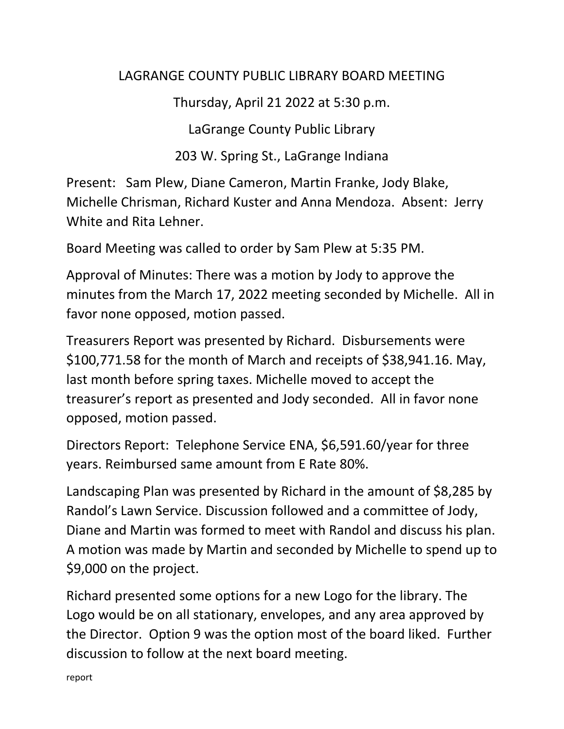## LAGRANGE COUNTY PUBLIC LIBRARY BOARD MEETING

Thursday, April 21 2022 at 5:30 p.m.

LaGrange County Public Library

203 W. Spring St., LaGrange Indiana

Present: Sam Plew, Diane Cameron, Martin Franke, Jody Blake, Michelle Chrisman, Richard Kuster and Anna Mendoza. Absent: Jerry White and Rita Lehner.

Board Meeting was called to order by Sam Plew at 5:35 PM.

Approval of Minutes: There was a motion by Jody to approve the minutes from the March 17, 2022 meeting seconded by Michelle. All in favor none opposed, motion passed.

Treasurers Report was presented by Richard. Disbursements were \$100,771.58 for the month of March and receipts of \$38,941.16. May, last month before spring taxes. Michelle moved to accept the treasurer's report as presented and Jody seconded. All in favor none opposed, motion passed.

Directors Report: Telephone Service ENA, \$6,591.60/year for three years. Reimbursed same amount from E Rate 80%.

Landscaping Plan was presented by Richard in the amount of \$8,285 by Randol's Lawn Service. Discussion followed and a committee of Jody, Diane and Martin was formed to meet with Randol and discuss his plan. A motion was made by Martin and seconded by Michelle to spend up to \$9,000 on the project.

Richard presented some options for a new Logo for the library. The Logo would be on all stationary, envelopes, and any area approved by the Director. Option 9 was the option most of the board liked. Further discussion to follow at the next board meeting.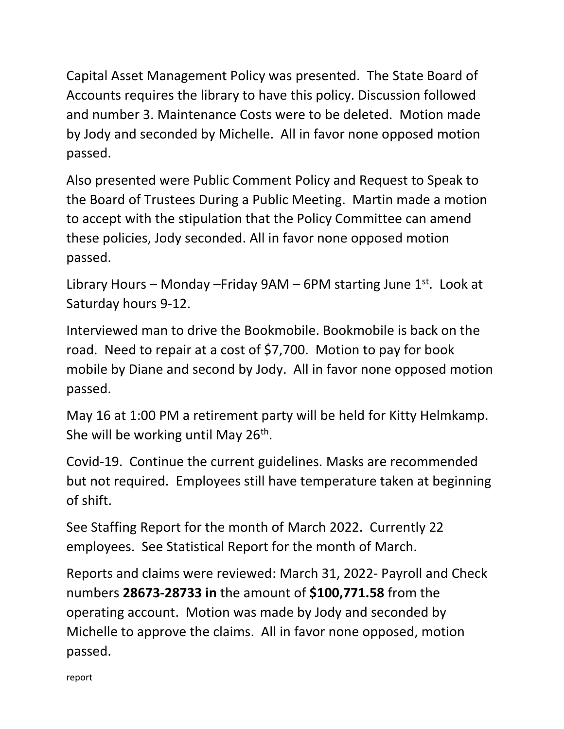Capital Asset Management Policy was presented. The State Board of Accounts requires the library to have this policy. Discussion followed and number 3. Maintenance Costs were to be deleted. Motion made by Jody and seconded by Michelle. All in favor none opposed motion passed.

Also presented were Public Comment Policy and Request to Speak to the Board of Trustees During a Public Meeting. Martin made a motion to accept with the stipulation that the Policy Committee can amend these policies, Jody seconded. All in favor none opposed motion passed.

Library Hours – Monday – Friday 9AM – 6PM starting June  $1<sup>st</sup>$ . Look at Saturday hours 9-12.

Interviewed man to drive the Bookmobile. Bookmobile is back on the road. Need to repair at a cost of \$7,700. Motion to pay for book mobile by Diane and second by Jody. All in favor none opposed motion passed.

May 16 at 1:00 PM a retirement party will be held for Kitty Helmkamp. She will be working until May 26<sup>th</sup>.

Covid-19. Continue the current guidelines. Masks are recommended but not required. Employees still have temperature taken at beginning of shift.

See Staffing Report for the month of March 2022. Currently 22 employees. See Statistical Report for the month of March.

Reports and claims were reviewed: March 31, 2022- Payroll and Check numbers **28673-28733 in** the amount of **\$100,771.58** from the operating account. Motion was made by Jody and seconded by Michelle to approve the claims. All in favor none opposed, motion passed.